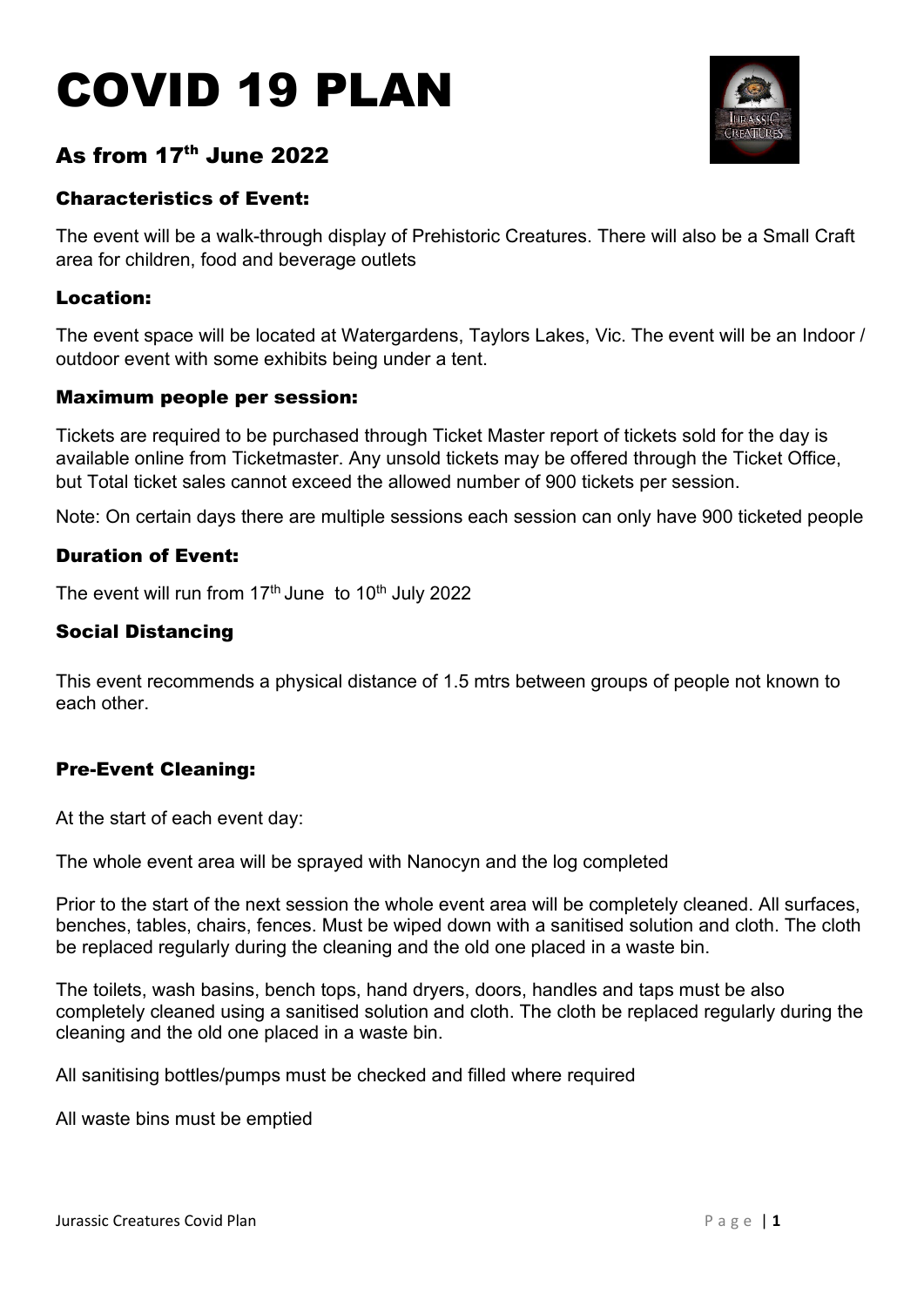# COVID 19 PLAN



# As from  $17<sup>th</sup>$  June 2022

# Characteristics of Event:

The event will be a walk-through display of Prehistoric Creatures. There will also be a Small Craft area for children, food and beverage outlets

# Location:

The event space will be located at Watergardens, Taylors Lakes, Vic. The event will be an Indoor / outdoor event with some exhibits being under a tent.

#### Maximum people per session:

Tickets are required to be purchased through Ticket Master report of tickets sold for the day is available online from Ticketmaster. Any unsold tickets may be offered through the Ticket Office, but Total ticket sales cannot exceed the allowed number of 900 tickets per session.

Note: On certain days there are multiple sessions each session can only have 900 ticketed people

# Duration of Event:

The event will run from  $17<sup>th</sup>$  June to  $10<sup>th</sup>$  July 2022

# Social Distancing

This event recommends a physical distance of 1.5 mtrs between groups of people not known to each other.

# Pre-Event Cleaning:

At the start of each event day:

The whole event area will be sprayed with Nanocyn and the log completed

Prior to the start of the next session the whole event area will be completely cleaned. All surfaces, benches, tables, chairs, fences. Must be wiped down with a sanitised solution and cloth. The cloth be replaced regularly during the cleaning and the old one placed in a waste bin.

The toilets, wash basins, bench tops, hand dryers, doors, handles and taps must be also completely cleaned using a sanitised solution and cloth. The cloth be replaced regularly during the cleaning and the old one placed in a waste bin.

All sanitising bottles/pumps must be checked and filled where required

All waste bins must be emptied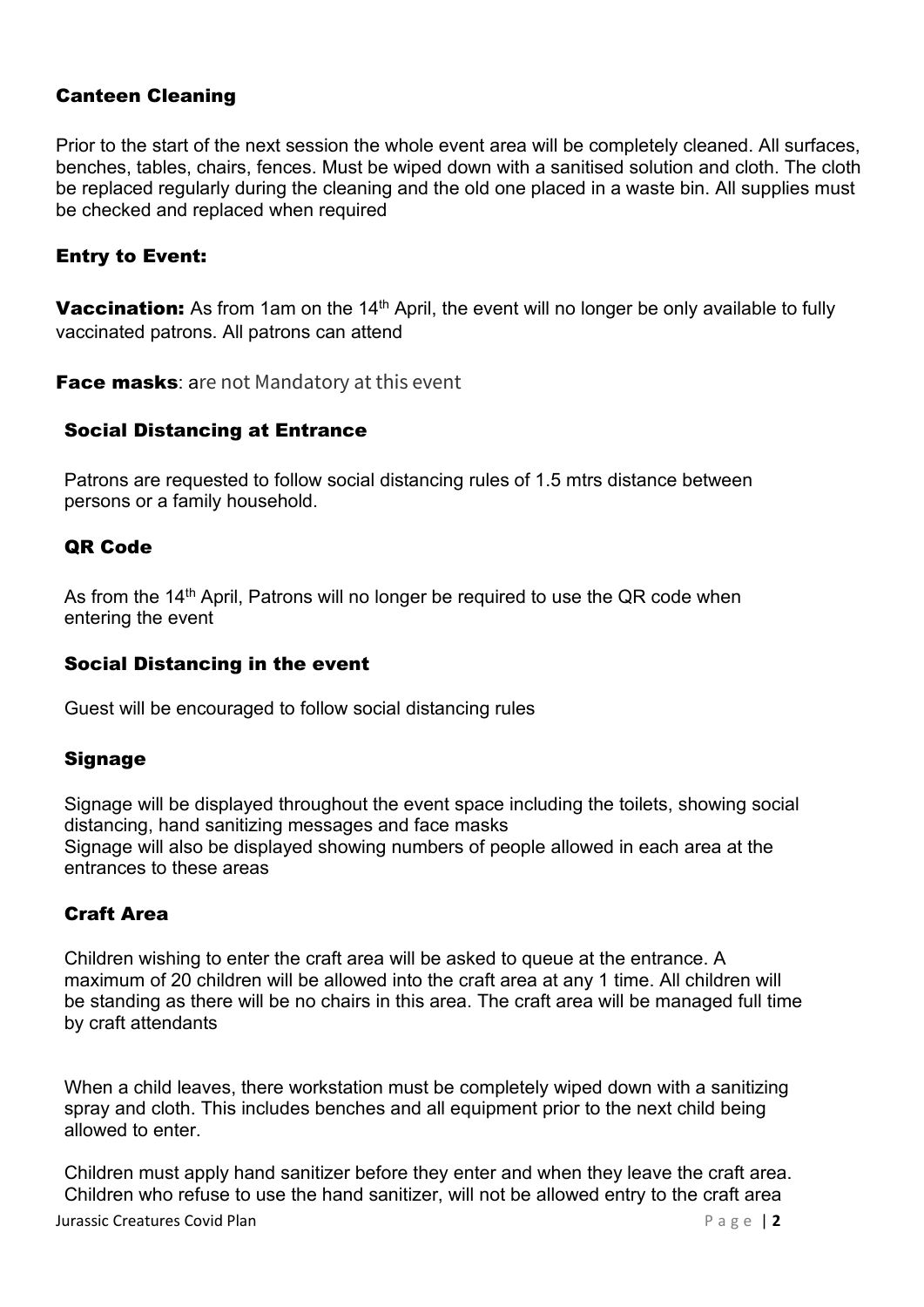# Canteen Cleaning

Prior to the start of the next session the whole event area will be completely cleaned. All surfaces, benches, tables, chairs, fences. Must be wiped down with a sanitised solution and cloth. The cloth be replaced regularly during the cleaning and the old one placed in a waste bin. All supplies must be checked and replaced when required

# Entry to Event:

Vaccination: As from 1am on the 14<sup>th</sup> April, the event will no longer be only available to fully vaccinated patrons. All patrons can attend

Face masks: are not Mandatory at this event

#### Social Distancing at Entrance

Patrons are requested to follow social distancing rules of 1.5 mtrs distance between persons or a family household.

#### QR Code

As from the  $14<sup>th</sup>$  April, Patrons will no longer be required to use the QR code when entering the event

#### Social Distancing in the event

Guest will be encouraged to follow social distancing rules

# Signage

Signage will be displayed throughout the event space including the toilets, showing social distancing, hand sanitizing messages and face masks Signage will also be displayed showing numbers of people allowed in each area at the entrances to these areas

#### Craft Area

Children wishing to enter the craft area will be asked to queue at the entrance. A maximum of 20 children will be allowed into the craft area at any 1 time. All children will be standing as there will be no chairs in this area. The craft area will be managed full time by craft attendants

When a child leaves, there workstation must be completely wiped down with a sanitizing spray and cloth. This includes benches and all equipment prior to the next child being allowed to enter.

**Jurassic Creatures Covid Plan Page 12** Children must apply hand sanitizer before they enter and when they leave the craft area. Children who refuse to use the hand sanitizer, will not be allowed entry to the craft area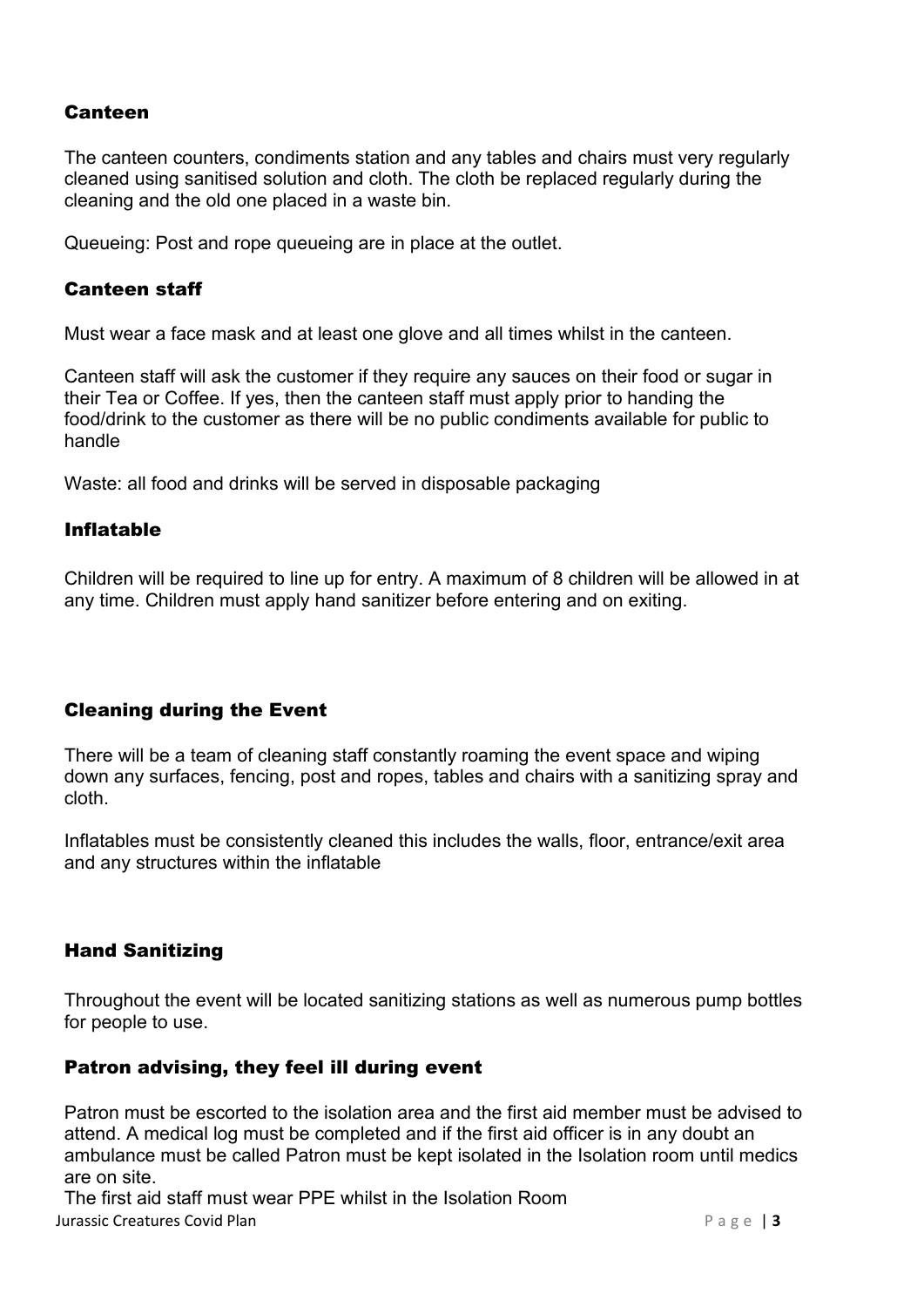#### Canteen

The canteen counters, condiments station and any tables and chairs must very regularly cleaned using sanitised solution and cloth. The cloth be replaced regularly during the cleaning and the old one placed in a waste bin.

Queueing: Post and rope queueing are in place at the outlet.

#### Canteen staff

Must wear a face mask and at least one glove and all times whilst in the canteen.

Canteen staff will ask the customer if they require any sauces on their food or sugar in their Tea or Coffee. If yes, then the canteen staff must apply prior to handing the food/drink to the customer as there will be no public condiments available for public to handle

Waste: all food and drinks will be served in disposable packaging

#### Inflatable

Children will be required to line up for entry. A maximum of 8 children will be allowed in at any time. Children must apply hand sanitizer before entering and on exiting.

# Cleaning during the Event

There will be a team of cleaning staff constantly roaming the event space and wiping down any surfaces, fencing, post and ropes, tables and chairs with a sanitizing spray and cloth.

Inflatables must be consistently cleaned this includes the walls, floor, entrance/exit area and any structures within the inflatable

# Hand Sanitizing

Throughout the event will be located sanitizing stations as well as numerous pump bottles for people to use.

#### Patron advising, they feel ill during event

Patron must be escorted to the isolation area and the first aid member must be advised to attend. A medical log must be completed and if the first aid officer is in any doubt an ambulance must be called Patron must be kept isolated in the Isolation room until medics are on site.

Jurassic Creatures Covid Plan **Page 13** The first aid staff must wear PPE whilst in the Isolation Room